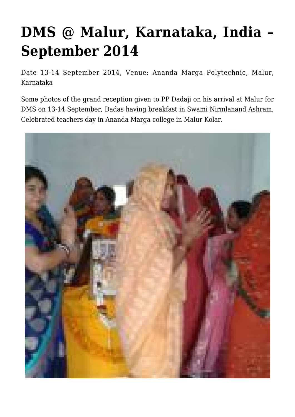## **[DMS @ Malur, Karnataka, India –](https://crimsondawn.net/portfolio/dms-malur-karnataka-india-september-2014/) [September 2014](https://crimsondawn.net/portfolio/dms-malur-karnataka-india-september-2014/)**

Date 13-14 September 2014, Venue: Ananda Marga Polytechnic, Malur, Karnataka

Some photos of the grand reception given to PP Dadaji on his arrival at Malur for DMS on 13-14 September, Dadas having breakfast in Swami Nirmlanand Ashram, Celebrated teachers day in Ananda Marga college in Malur Kolar.

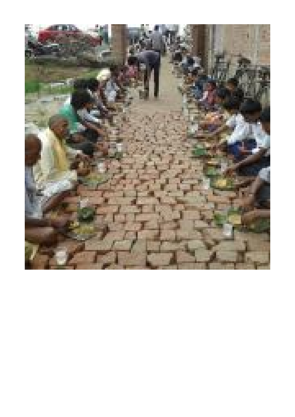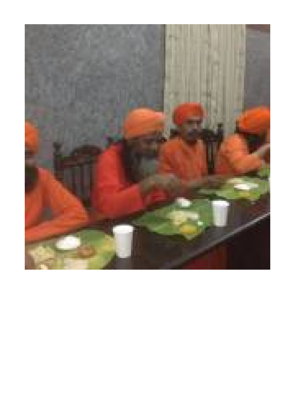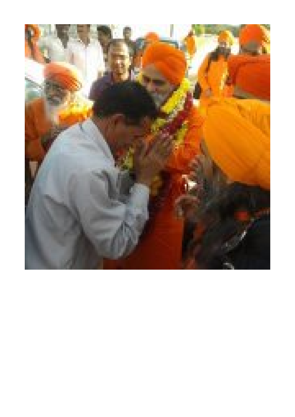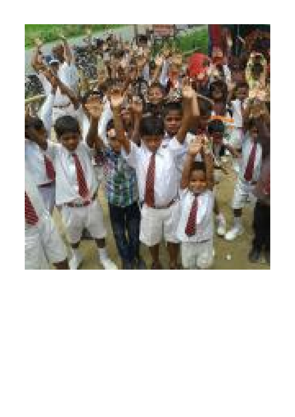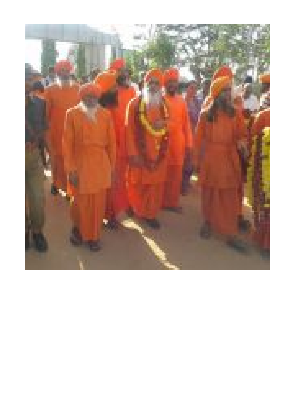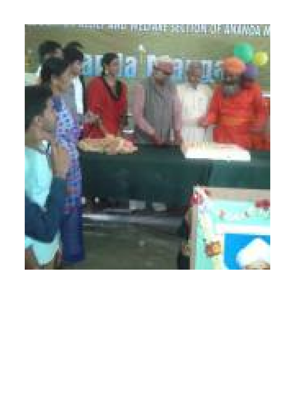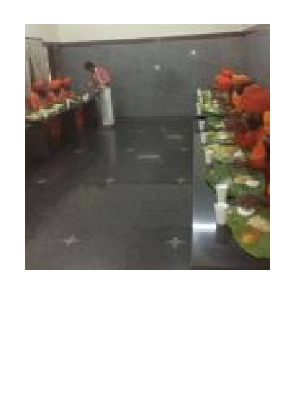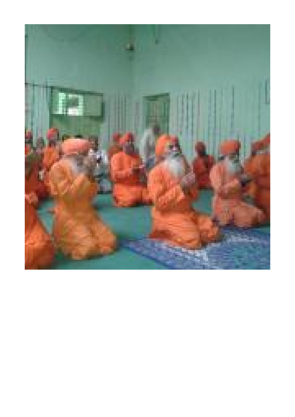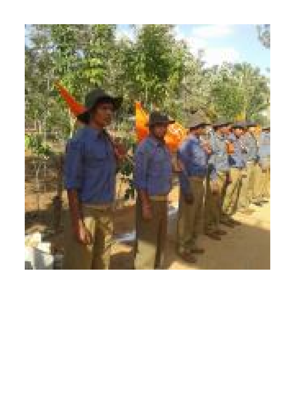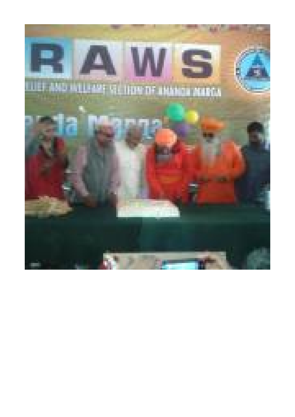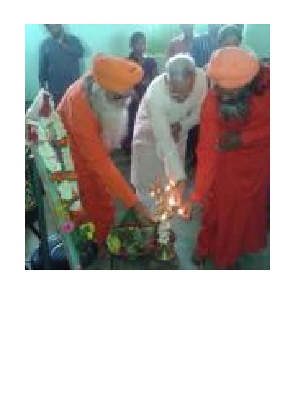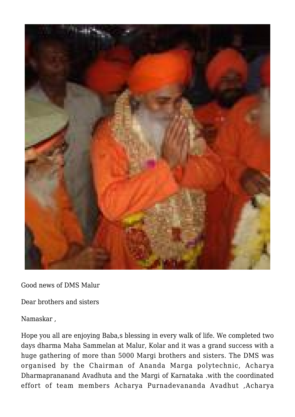

Good news of DMS Malur

Dear brothers and sisters

Namaskar ,

Hope you all are enjoying Baba,s blessing in every walk of life. We completed two days dharma Maha Sammelan at Malur, Kolar and it was a grand success with a huge gathering of more than 5000 Margi brothers and sisters. The DMS was organised by the Chairman of Ananda Marga polytechnic, Acharya Dharmaprananand Avadhuta and the Margi of Karnataka .with the coordinated effort of team members Acharya Purnadevananda Avadhut ,Acharya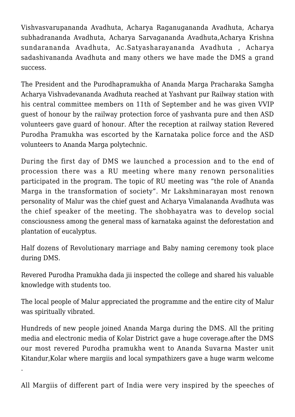Vishvasvarupananda Avadhuta, Acharya Raganugananda Avadhuta, Acharya subhadrananda Avadhuta, Acharya Sarvagananda Avadhuta,Acharya Krishna sundarananda Avadhuta, Ac.Satyasharayananda Avadhuta , Acharya sadashivananda Avadhuta and many others we have made the DMS a grand success.

The President and the Purodhapramukha of Ananda Marga Pracharaka Samgha Acharya Vishvadevananda Avadhuta reached at Yashvant pur Railway station with his central committee members on 11th of September and he was given VVIP guest of honour by the railway protection force of yashvanta pure and then ASD volunteers gave guard of honour. After the reception at railway station Revered Purodha Pramukha was escorted by the Karnataka police force and the ASD volunteers to Ananda Marga polytechnic.

During the first day of DMS we launched a procession and to the end of procession there was a RU meeting where many renown personalities participated in the program. The topic of RU meeting was "the role of Ananda Marga in the transformation of society". Mr Lakshminarayan most renown personality of Malur was the chief guest and Acharya Vimalananda Avadhuta was the chief speaker of the meeting. The shobhayatra was to develop social consciousness among the general mass of karnataka against the deforestation and plantation of eucalyptus.

Half dozens of Revolutionary marriage and Baby naming ceremony took place during DMS.

Revered Purodha Pramukha dada jii inspected the college and shared his valuable knowledge with students too.

The local people of Malur appreciated the programme and the entire city of Malur was spiritually vibrated.

Hundreds of new people joined Ananda Marga during the DMS. All the priting media and electronic media of Kolar District gave a huge coverage.after the DMS our most revered Purodha pramukha went to Ananda Suvarna Master unit Kitandur,Kolar where margiis and local sympathizers gave a huge warm welcome

All Margiis of different part of India were very inspired by the speeches of

.